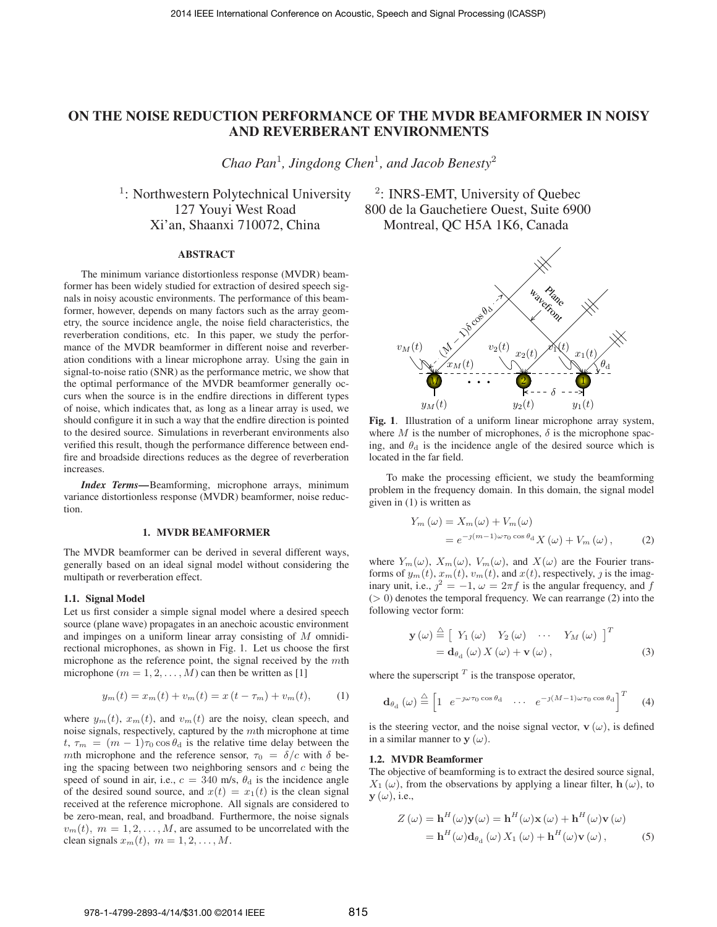# **ON THE NOISE REDUCTION PERFORMANCE OF THE MVDR BEAMFORMER IN NOISY AND REVERBERANT ENVIRONMENTS**

*Chao Pan*<sup>1</sup>*, Jingdong Chen*<sup>1</sup>*, and Jacob Benesty*<sup>2</sup>

<sup>1</sup>: Northwestern Polytechnical University  $\frac{2}{\cdot}$  INRS-EMT, University of Quebec Xi'an, Shaanxi 710072, China Montreal, QC H5A 1K6, Canada

#### **ABSTRACT**

The minimum variance distortionless response (MVDR) beamformer has been widely studied for extraction of desired speech signals in noisy acoustic environments. The performance of this beamformer, however, depends on many factors such as the array geometry, the source incidence angle, the noise field characteristics, the reverberation conditions, etc. In this paper, we study the performance of the MVDR beamformer in different noise and reverberation conditions with a linear microphone array. Using the gain in signal-to-noise ratio (SNR) as the performance metric, we show that the optimal performance of the MVDR beamformer generally occurs when the source is in the endfire directions in different types of noise, which indicates that, as long as a linear array is used, we should configure it in such a way that the endfire direction is pointed to the desired source. Simulations in reverberant environments also verified this result, though the performance difference between endfire and broadside directions reduces as the degree of reverberation increases.

*Index Terms***—**Beamforming, microphone arrays, minimum variance distortionless response (MVDR) beamformer, noise reduction.

#### **1. MVDR BEAMFORMER**

The MVDR beamformer can be derived in several different ways, generally based on an ideal signal model without considering the multipath or reverberation effect.

#### **1.1. Signal Model**

Let us first consider a simple signal model where a desired speech source (plane wave) propagates in an anechoic acoustic environment and impinges on a uniform linear array consisting of M omnidirectional microphones, as shown in Fig. 1. Let us choose the first microphone as the reference point, the signal received by the mth microphone ( $m = 1, 2, \ldots, M$ ) can then be written as [1]

$$
y_m(t) = x_m(t) + v_m(t) = x(t - \tau_m) + v_m(t), \qquad (1)
$$

where  $y_m(t)$ ,  $x_m(t)$ , and  $v_m(t)$  are the noisy, clean speech, and noise signals, respectively, captured by the mth microphone at time  $t, \tau_m = (m-1)\tau_0 \cos \theta_d$  is the relative time delay between the mth microphone and the reference sensor,  $\tau_0 = \delta/c$  with  $\delta$  being the spacing between two neighboring sensors and  $c$  being the speed of sound in air, i.e.,  $c = 340$  m/s,  $\theta_d$  is the incidence angle of the desired sound source, and  $x(t) = x_1(t)$  is the clean signal received at the reference microphone. All signals are considered to be zero-mean, real, and broadband. Furthermore, the noise signals  $v_m(t)$ ,  $m = 1, 2, \dots, M$ , are assumed to be uncorrelated with the clean signals  $x_m(t)$ ,  $m = 1, 2, \ldots, M$ .

127 Youyi West Road 800 de la Gauchetiere Ouest, Suite 6900



**Fig. 1**. Illustration of a uniform linear microphone array system, where M is the number of microphones,  $\delta$  is the microphone spacing, and  $\theta_d$  is the incidence angle of the desired source which is located in the far field.

To make the processing efficient, we study the beamforming problem in the frequency domain. In this domain, the signal model given in (1) is written as

$$
Y_m(\omega) = X_m(\omega) + V_m(\omega)
$$
  
=  $e^{-\jmath(m-1)\omega\tau_0 \cos \theta_d} X(\omega) + V_m(\omega),$  (2)

where  $Y_m(\omega)$ ,  $X_m(\omega)$ ,  $V_m(\omega)$ , and  $X(\omega)$  are the Fourier transforms of  $y_m(t)$ ,  $x_m(t)$ ,  $v_m(t)$ , and  $x(t)$ , respectively, j is the imaginary unit, i.e.,  $j^2 = -1$ ,  $\omega = 2\pi f$  is the angular frequency, and f<br>(> 0) denotes the temporal frequency. We can rearrange (2) into the  $(> 0)$  denotes the temporal frequency. We can rearrange  $(2)$  into the following vector form:

$$
\mathbf{y}(\omega) \stackrel{\triangle}{=} \left[ Y_1(\omega) Y_2(\omega) \cdots Y_M(\omega) \right]^T
$$
  
=  $\mathbf{d}_{\theta_d}(\omega) X(\omega) + \mathbf{v}(\omega),$  (3)

where the superscript  $<sup>T</sup>$  is the transpose operator,</sup>

$$
\mathbf{d}_{\theta_{\mathrm{d}}}(\omega) \stackrel{\triangle}{=} \begin{bmatrix} 1 & e^{-\jmath\omega\tau_0 \cos\theta_{\mathrm{d}}} & \cdots & e^{-\jmath(M-1)\omega\tau_0 \cos\theta_{\mathrm{d}}} \end{bmatrix}^T \tag{4}
$$

is the steering vector, and the noise signal vector,  $\mathbf{v}(\omega)$ , is defined in a similar manner to  $y(\omega)$ .

#### **1.2. MVDR Beamformer**

The objective of beamforming is to extract the desired source signal,  $X_1(\omega)$ , from the observations by applying a linear filter, **h** ( $\omega$ ), to  $\mathbf{y}(\omega)$ , i.e.,

$$
Z(\omega) = \mathbf{h}^{H}(\omega)\mathbf{y}(\omega) = \mathbf{h}^{H}(\omega)\mathbf{x}(\omega) + \mathbf{h}^{H}(\omega)\mathbf{v}(\omega)
$$

$$
= \mathbf{h}^{H}(\omega)\mathbf{d}_{\theta_{\mathrm{d}}}(\omega) X_{1}(\omega) + \mathbf{h}^{H}(\omega)\mathbf{v}(\omega), \tag{5}
$$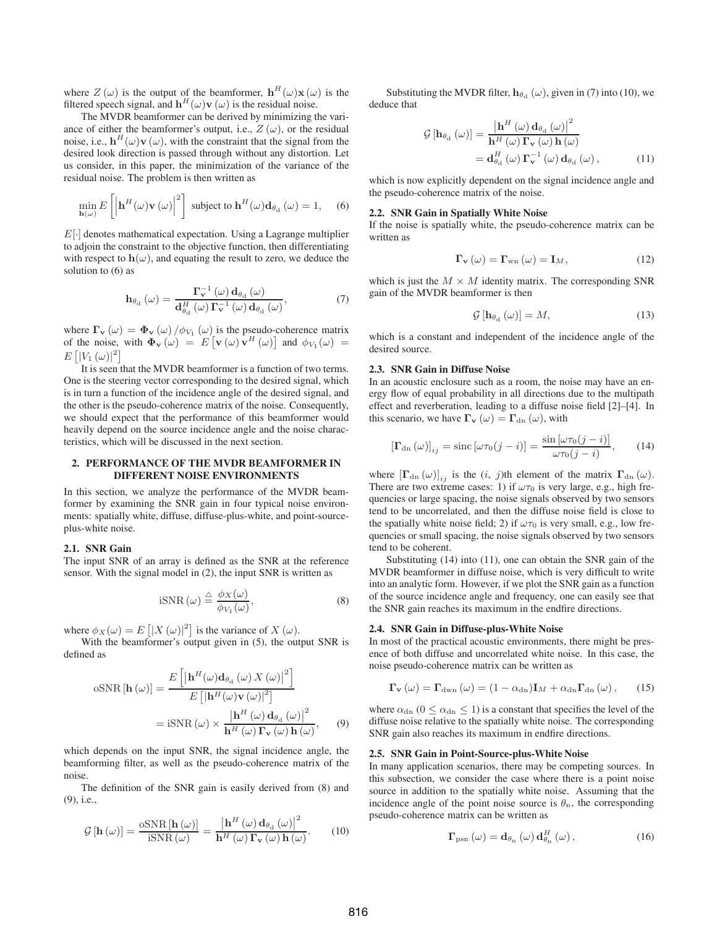where  $Z(\omega)$  is the output of the beamformer,  $\mathbf{h}^H(\omega)\mathbf{x}(\omega)$  is the filtered speech signal, and  $h^H(\omega)$ **v** ( $\omega$ ) is the residual noise.

The MVDR beamformer can be derived by minimizing the variance of either the beamformer's output, i.e.,  $Z(\omega)$ , or the residual noise, i.e.,  $\mathbf{h}^{H}(\omega)\mathbf{v}(\omega)$ , with the constraint that the signal from the desired look direction is passed through without any distortion. Let us consider, in this paper, the minimization of the variance of the residual noise. The problem is then written as

$$
\min_{\mathbf{h}(\omega)} E\left[\left|\mathbf{h}^{H}(\omega)\mathbf{v}(\omega)\right|^{2}\right] \text{ subject to } \mathbf{h}^{H}(\omega)\mathbf{d}_{\theta_{d}}\left(\omega\right) = 1, \quad (6)
$$

 $E[\cdot]$  denotes mathematical expectation. Using a Lagrange multiplier to adjoin the constraint to the objective function, then differentiating with respect to  $h(\omega)$ , and equating the result to zero, we deduce the solution to (6) as

$$
\mathbf{h}_{\theta_{\mathrm{d}}}(\omega) = \frac{\Gamma_{\mathbf{v}}^{-1}(\omega) \,\mathbf{d}_{\theta_{\mathrm{d}}}(\omega)}{\mathbf{d}_{\theta_{\mathrm{d}}}^{H}(\omega) \,\Gamma_{\mathbf{v}}^{-1}(\omega) \,\mathbf{d}_{\theta_{\mathrm{d}}}(\omega)},\tag{7}
$$

where  $\Gamma$ **v** ( $\omega$ ) =  $\Phi$ **v** ( $\omega$ ) / $\phi$ <sub>V<sub>1</sub></sub> ( $\omega$ ) is the pseudo-coherence matrix of the noise, with  $\Phi_{\mathbf{v}}(\omega) = E[\mathbf{v}(\omega) \mathbf{v}^H(\omega)]$  and  $\phi_{V_1}(\omega) = E[\mathbf{v}(\omega)]^2$  $E\left[|V_1(\omega)|^2\right]$ <br>It is seen t

It is seen that the MVDR beamformer is a function of two terms. One is the steering vector corresponding to the desired signal, which is in turn a function of the incidence angle of the desired signal, and the other is the pseudo-coherence matrix of the noise. Consequently, we should expect that the performance of this beamformer would heavily depend on the source incidence angle and the noise characteristics, which will be discussed in the next section.

# **2. PERFORMANCE OF THE MVDR BEAMFORMER IN DIFFERENT NOISE ENVIRONMENTS**

In this section, we analyze the performance of the MVDR beamformer by examining the SNR gain in four typical noise environments: spatially white, diffuse, diffuse-plus-white, and point-sourceplus-white noise.

## **2.1. SNR Gain**

The input SNR of an array is defined as the SNR at the reference sensor. With the signal model in (2), the input SNR is written as

$$
iSNR\left(\omega\right) \stackrel{\triangle}{=} \frac{\phi_X(\omega)}{\phi_{V_1}(\omega)},\tag{8}
$$

where  $\phi_X(\omega) = E\left[|X(\omega)|^2\right]$  is the variance of  $X(\omega)$ .<br>With the beamformer's output given in (5) the out

With the beamformer's output given in  $(5)$ , the output SNR is defined as

$$
\text{oSNR}[\mathbf{h}(\omega)] = \frac{E\left[\left|\mathbf{h}^{H}(\omega)\mathbf{d}_{\theta_{\text{d}}}(\omega) X(\omega)\right|^{2}\right]}{E\left[\left|\mathbf{h}^{H}(\omega)\mathbf{v}(\omega)\right|^{2}\right]}
$$

$$
= \text{iSNR}(\omega) \times \frac{\left|\mathbf{h}^{H}(\omega)\mathbf{d}_{\theta_{\text{d}}}(\omega)\right|^{2}}{\mathbf{h}^{H}(\omega)\,\Gamma_{\mathbf{v}}(\omega)\,\mathbf{h}(\omega)},\qquad(9)
$$

which depends on the input SNR, the signal incidence angle, the beamforming filter, as well as the pseudo-coherence matrix of the noise.

The definition of the SNR gain is easily derived from (8) and (9), i.e.,

$$
\mathcal{G}\left[\mathbf{h}\left(\omega\right)\right] = \frac{\text{oSNR}\left[\mathbf{h}\left(\omega\right)\right]}{\text{iSNR}\left(\omega\right)} = \frac{\left|\mathbf{h}^H\left(\omega\right)\mathbf{d}_{\theta_d}\left(\omega\right)\right|^2}{\mathbf{h}^H\left(\omega\right)\mathbf{\Gamma_v}\left(\omega\right)\mathbf{h}\left(\omega\right)}.\tag{10}
$$

Substituting the MVDR filter,  $h_{\theta_d}(\omega)$ , given in (7) into (10), we deduce that

$$
\mathcal{G}\left[\mathbf{h}_{\theta_{\rm d}}\left(\omega\right)\right] = \frac{\left|\mathbf{h}^{H}\left(\omega\right)\mathbf{d}_{\theta_{\rm d}}\left(\omega\right)\right|^{2}}{\mathbf{h}^{H}\left(\omega\right)\mathbf{\Gamma}_{\mathbf{v}}\left(\omega\right)\mathbf{h}\left(\omega\right)} \n= \mathbf{d}_{\theta_{\rm d}}^{H}\left(\omega\right)\mathbf{\Gamma}_{\mathbf{v}}^{-1}\left(\omega\right)\mathbf{d}_{\theta_{\rm d}}\left(\omega\right),
$$
\n(11)

which is now explicitly dependent on the signal incidence angle and the pseudo-coherence matrix of the noise.

#### **2.2. SNR Gain in Spatially White Noise**

If the noise is spatially white, the pseudo-coherence matrix can be written as

$$
\Gamma_{\mathbf{v}}\left(\omega\right) = \Gamma_{\text{wn}}\left(\omega\right) = \mathbf{I}_M,\tag{12}
$$

which is just the  $M \times M$  identity matrix. The corresponding SNR gain of the MVDR beamformer is then

$$
\mathcal{G}\left[\mathbf{h}_{\theta_{\mathrm{d}}}\left(\omega\right)\right] = M,\tag{13}
$$

which is a constant and independent of the incidence angle of the desired source.

# **2.3. SNR Gain in Diffuse Noise**

In an acoustic enclosure such as a room, the noise may have an energy flow of equal probability in all directions due to the multipath effect and reverberation, leading to a diffuse noise field [2]–[4]. In this scenario, we have  $\mathbf{\Gamma}_{\mathbf{v}}(\omega) = \mathbf{\Gamma}_{\mathrm{dn}}(\omega)$ , with

$$
\left[\Gamma_{\text{dn}}\left(\omega\right)\right]_{ij} = \text{sinc}\left[\omega\tau_0(j-i)\right] = \frac{\sin\left[\omega\tau_0(j-i)\right]}{\omega\tau_0(j-i)},\qquad(14)
$$

where  $\left[\mathbf{\Gamma}_{\mathrm{dn}}\left(\omega\right)\right]_{ij}$  is the  $(i, j)$ th element of the matrix  $\mathbf{\Gamma}_{\mathrm{dn}}\left(\omega\right)$ . There are two extreme cases: 1) if  $\omega \tau_0$  is very large, e.g., high frequencies or large spacing, the noise signals observed by two sensors tend to be uncorrelated, and then the diffuse noise field is close to the spatially white noise field; 2) if  $\omega \tau_0$  is very small, e.g., low frequencies or small spacing, the noise signals observed by two sensors tend to be coherent.

Substituting (14) into (11), one can obtain the SNR gain of the MVDR beamformer in diffuse noise, which is very difficult to write into an analytic form. However, if we plot the SNR gain as a function of the source incidence angle and frequency, one can easily see that the SNR gain reaches its maximum in the endfire directions.

#### **2.4. SNR Gain in Diffuse-plus-White Noise**

In most of the practical acoustic environments, there might be presence of both diffuse and uncorrelated white noise. In this case, the noise pseudo-coherence matrix can be written as

$$
\Gamma_{\mathbf{v}}\left(\omega\right) = \Gamma_{\text{dwn}}\left(\omega\right) = \left(1 - \alpha_{\text{dn}}\right)\mathbf{I}_M + \alpha_{\text{dn}}\Gamma_{\text{dn}}\left(\omega\right),\qquad(15)
$$

where  $\alpha_{dn}$  ( $0 \leq \alpha_{dn} \leq 1$ ) is a constant that specifies the level of the diffuse noise relative to the spatially white noise. The corresponding SNR gain also reaches its maximum in endfire directions.

#### **2.5. SNR Gain in Point-Source-plus-White Noise**

In many application scenarios, there may be competing sources. In this subsection, we consider the case where there is a point noise source in addition to the spatially white noise. Assuming that the incidence angle of the point noise source is  $\theta_n$ , the corresponding pseudo-coherence matrix can be written as

$$
\Gamma_{\text{psn}}\left(\omega\right) = \mathbf{d}_{\theta_{\text{n}}}\left(\omega\right) \mathbf{d}_{\theta_{\text{n}}}^{H}\left(\omega\right),\tag{16}
$$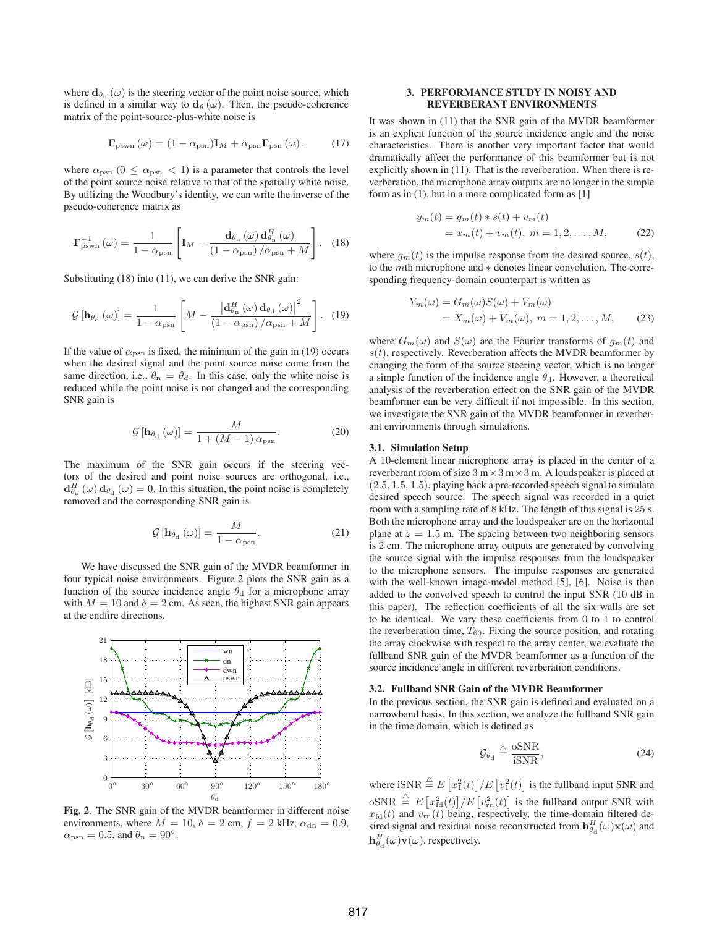where  $\mathbf{d}_{\theta_n}(\omega)$  is the steering vector of the point noise source, which is defined in a similar way to  $d_{\theta}(\omega)$ . Then, the pseudo-coherence matrix of the point-source-plus-white noise is

$$
\mathbf{\Gamma}_{\text{pswn}}\left(\omega\right) = (1 - \alpha_{\text{psn}})\mathbf{I}_M + \alpha_{\text{psn}}\mathbf{\Gamma}_{\text{psn}}\left(\omega\right). \tag{17}
$$

where  $\alpha_{psn}$  (0  $\leq \alpha_{psn} < 1$ ) is a parameter that controls the level of the point source noise relative to that of the spatially white noise. By utilizing the Woodbury's identity, we can write the inverse of the pseudo-coherence matrix as

$$
\Gamma_{\text{pswn}}^{-1}(\omega) = \frac{1}{1 - \alpha_{\text{psn}}} \left[ \mathbf{I}_M - \frac{\mathbf{d}_{\theta_{\text{n}}}(\omega) \mathbf{d}_{\theta_{\text{n}}}^H(\omega)}{(1 - \alpha_{\text{psn}}) / \alpha_{\text{psn}} + M} \right]. \quad (18)
$$

Substituting (18) into (11), we can derive the SNR gain:

$$
\mathcal{G}\left[\mathbf{h}_{\theta_{\rm d}}\left(\omega\right)\right] = \frac{1}{1 - \alpha_{\rm psn}} \left[ M - \frac{\left|\mathbf{d}_{\theta_{\rm n}}^{H}\left(\omega\right)\mathbf{d}_{\theta_{\rm d}}\left(\omega\right)\right|^{2}}{\left(1 - \alpha_{\rm psn}\right)/\alpha_{\rm psn} + M} \right]. \tag{19}
$$

If the value of  $\alpha_{\rm psn}$  is fixed, the minimum of the gain in (19) occurs when the desired signal and the point source noise come from the same direction, i.e.,  $\theta_n = \theta_d$ . In this case, only the white noise is reduced while the point noise is not changed and the corresponding SNR gain is

$$
\mathcal{G}\left[\mathbf{h}_{\theta_{\rm d}}\left(\omega\right)\right] = \frac{M}{1 + (M - 1)\,\alpha_{\rm psn}}.\tag{20}
$$

The maximum of the SNR gain occurs if the steering vectors of the desired and point noise sources are orthogonal, i.e.,  $d_{\theta_n}^H(\omega) d_{\theta_d}(\omega) = 0$ . In this situation, the point noise is completely removed and the corresponding SNR gain is removed and the corresponding SNR gain is

$$
\mathcal{G}\left[\mathbf{h}_{\theta_{\rm d}}\left(\omega\right)\right] = \frac{M}{1 - \alpha_{\rm psn}}.\tag{21}
$$

We have discussed the SNR gain of the MVDR beamformer in four typical noise environments. Figure 2 plots the SNR gain as a function of the source incidence angle  $\theta_d$  for a microphone array with  $M = 10$  and  $\delta = 2$  cm. As seen, the highest SNR gain appears at the endfire directions.



**Fig. 2**. The SNR gain of the MVDR beamformer in different noise environments, where  $M = 10$ ,  $\delta = 2$  cm,  $f = 2$  kHz,  $\alpha_{dn} = 0.9$ ,  $\alpha_{\rm psn} = 0.5$ , and  $\theta_{\rm n} = 90^{\circ}$ .

## **3. PERFORMANCE STUDY IN NOISY AND REVERBERANT ENVIRONMENTS**

It was shown in (11) that the SNR gain of the MVDR beamformer is an explicit function of the source incidence angle and the noise characteristics. There is another very important factor that would dramatically affect the performance of this beamformer but is not explicitly shown in (11). That is the reverberation. When there is reverberation, the microphone array outputs are no longer in the simple form as in (1), but in a more complicated form as [1]

$$
y_m(t) = g_m(t) * s(t) + v_m(t)
$$
  
=  $x_m(t) + v_m(t), \ m = 1, 2, ..., M,$  (22)

where  $g_m(t)$  is the impulse response from the desired source,  $s(t)$ , to the mth microphone and <sup>∗</sup> denotes linear convolution. The corresponding frequency-domain counterpart is written as

$$
Y_m(\omega) = G_m(\omega)S(\omega) + V_m(\omega)
$$
  
=  $X_m(\omega) + V_m(\omega), \ m = 1, 2, ..., M,$  (23)

where  $G_m(\omega)$  and  $S(\omega)$  are the Fourier transforms of  $g_m(t)$  and  $s(t)$ , respectively. Reverberation affects the MVDR beamformer by changing the form of the source steering vector, which is no longer a simple function of the incidence angle  $\theta_d$ . However, a theoretical analysis of the reverberation effect on the SNR gain of the MVDR beamformer can be very difficult if not impossible. In this section, we investigate the SNR gain of the MVDR beamformer in reverberant environments through simulations.

#### **3.1. Simulation Setup**

A 10-element linear microphone array is placed in the center of a reverberant room of size  $3 \text{ m} \times 3 \text{ m} \times 3 \text{ m}$ . A loudspeaker is placed at (2.5, <sup>1</sup>.5, <sup>1</sup>.5), playing back a pre-recorded speech signal to simulate desired speech source. The speech signal was recorded in a quiet room with a sampling rate of 8 kHz. The length of this signal is 25 s. Both the microphone array and the loudspeaker are on the horizontal plane at  $z = 1.5$  m. The spacing between two neighboring sensors is 2 cm. The microphone array outputs are generated by convolving the source signal with the impulse responses from the loudspeaker to the microphone sensors. The impulse responses are generated with the well-known image-model method [5], [6]. Noise is then added to the convolved speech to control the input SNR (10 dB in this paper). The reflection coefficients of all the six walls are set to be identical. We vary these coefficients from 0 to 1 to control the reverberation time,  $T_{60}$ . Fixing the source position, and rotating the array clockwise with respect to the array center, we evaluate the fullband SNR gain of the MVDR beamformer as a function of the source incidence angle in different reverberation conditions.

#### **3.2. Fullband SNR Gain of the MVDR Beamformer**

In the previous section, the SNR gain is defined and evaluated on a narrowband basis. In this section, we analyze the fullband SNR gain in the time domain, which is defined as

$$
\mathcal{G}_{\theta_{\rm d}} \stackrel{\triangle}{=} \frac{\text{oSNR}}{\text{iSNR}},\tag{24}
$$

where  $\sin R \stackrel{\triangle}{=} E[x_1^2(t)]/E[v_1^2(t)]$  is the fullband input SNR and oSNR  $\triangleq E[x_{\text{rd}}^2(t)]/E[v_{\text{rn}}^2(t)]$  is the fullband output SNR with  $x_{\text{c}}(t)$  and  $v_{\text{nr}}(t)$  being respectively the time-domain filtered de $x_{\text{fd}}(t)$  and  $v_{\text{rn}}(t)$  being, respectively, the time-domain filtered desired signal and residual noise reconstructed from  $h_{\theta_d}^H(\omega) \mathbf{x}(\omega)$  and  $h^H(\omega) \mathbf{x}(\omega)$  are reconstructed from  $h_{\theta_d}^H(\omega) \mathbf{x}(\omega)$ .  $\mathbf{h}_{\theta_{\rm d}}^H(\omega)\mathbf{v}(\omega)$ , respectively.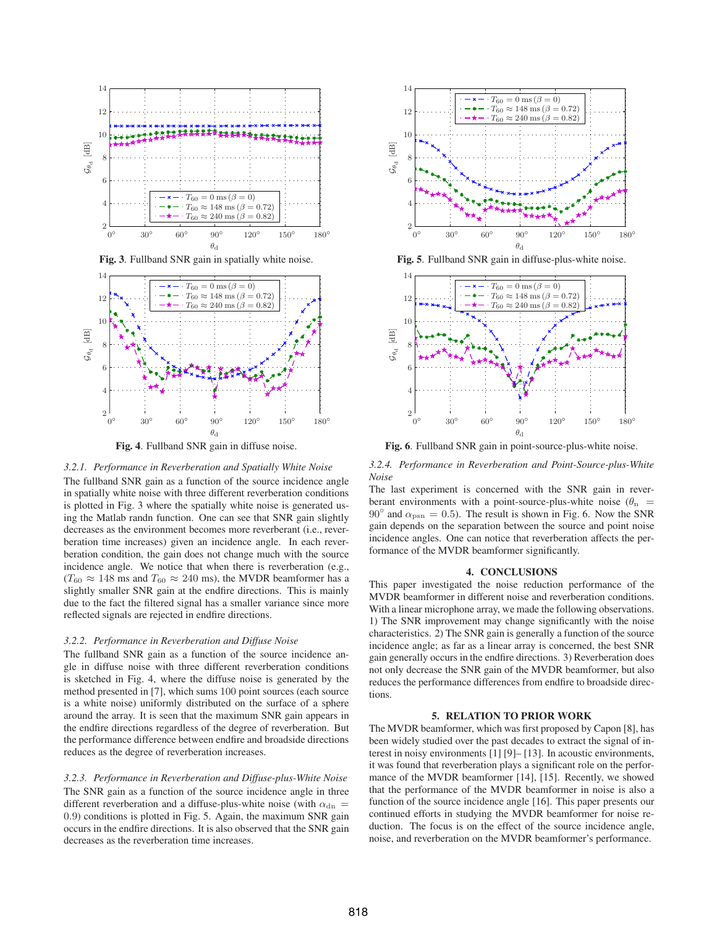

**Fig. 3**. Fullband SNR gain in spatially white noise.



**Fig. 4**. Fullband SNR gain in diffuse noise.

# *3.2.1. Performance in Reverberation and Spatially White Noise*

The fullband SNR gain as a function of the source incidence angle in spatially white noise with three different reverberation conditions is plotted in Fig. 3 where the spatially white noise is generated using the Matlab randn function. One can see that SNR gain slightly decreases as the environment becomes more reverberant (i.e., reverberation time increases) given an incidence angle. In each reverberation condition, the gain does not change much with the source incidence angle. We notice that when there is reverberation (e.g.,  $(T_{60} \approx 148 \text{ ms and } T_{60} \approx 240 \text{ ms})$ , the MVDR beamformer has a slightly smaller SNR gain at the endfire directions. This is mainly due to the fact the filtered signal has a smaller variance since more reflected signals are rejected in endfire directions.

#### *3.2.2. Performance in Reverberation and Diffuse Noise*

The fullband SNR gain as a function of the source incidence angle in diffuse noise with three different reverberation conditions is sketched in Fig. 4, where the diffuse noise is generated by the method presented in [7], which sums 100 point sources (each source is a white noise) uniformly distributed on the surface of a sphere around the array. It is seen that the maximum SNR gain appears in the endfire directions regardless of the degree of reverberation. But the performance difference between endfire and broadside directions reduces as the degree of reverberation increases.

*3.2.3. Performance in Reverberation and Diffuse-plus-White Noise* The SNR gain as a function of the source incidence angle in three different reverberation and a diffuse-plus-white noise (with  $\alpha_{\rm dn}$  = <sup>0</sup>.9) conditions is plotted in Fig. 5. Again, the maximum SNR gain occurs in the endfire directions. It is also observed that the SNR gain decreases as the reverberation time increases.



**Fig. 5**. Fullband SNR gain in diffuse-plus-white noise.



**Fig. 6**. Fullband SNR gain in point-source-plus-white noise.

*3.2.4. Performance in Reverberation and Point-Source-plus-White Noise*

The last experiment is concerned with the SNR gain in reverberant environments with a point-source-plus-white noise ( $\theta_n$  = 90 $\degree$  and  $\alpha_{psn} = 0.5$ ). The result is shown in Fig. 6. Now the SNR gain depends on the separation between the source and point noise incidence angles. One can notice that reverberation affects the performance of the MVDR beamformer significantly.

# **4. CONCLUSIONS**

This paper investigated the noise reduction performance of the MVDR beamformer in different noise and reverberation conditions. With a linear microphone array, we made the following observations. 1) The SNR improvement may change significantly with the noise characteristics. 2) The SNR gain is generally a function of the source incidence angle; as far as a linear array is concerned, the best SNR gain generally occurs in the endfire directions. 3) Reverberation does not only decrease the SNR gain of the MVDR beamformer, but also reduces the performance differences from endfire to broadside directions.

#### **5. RELATION TO PRIOR WORK**

The MVDR beamformer, which was first proposed by Capon [8], has been widely studied over the past decades to extract the signal of interest in noisy environments [1] [9]– [13]. In acoustic environments, it was found that reverberation plays a significant role on the performance of the MVDR beamformer [14], [15]. Recently, we showed that the performance of the MVDR beamformer in noise is also a function of the source incidence angle [16]. This paper presents our continued efforts in studying the MVDR beamformer for noise reduction. The focus is on the effect of the source incidence angle, noise, and reverberation on the MVDR beamformer's performance.